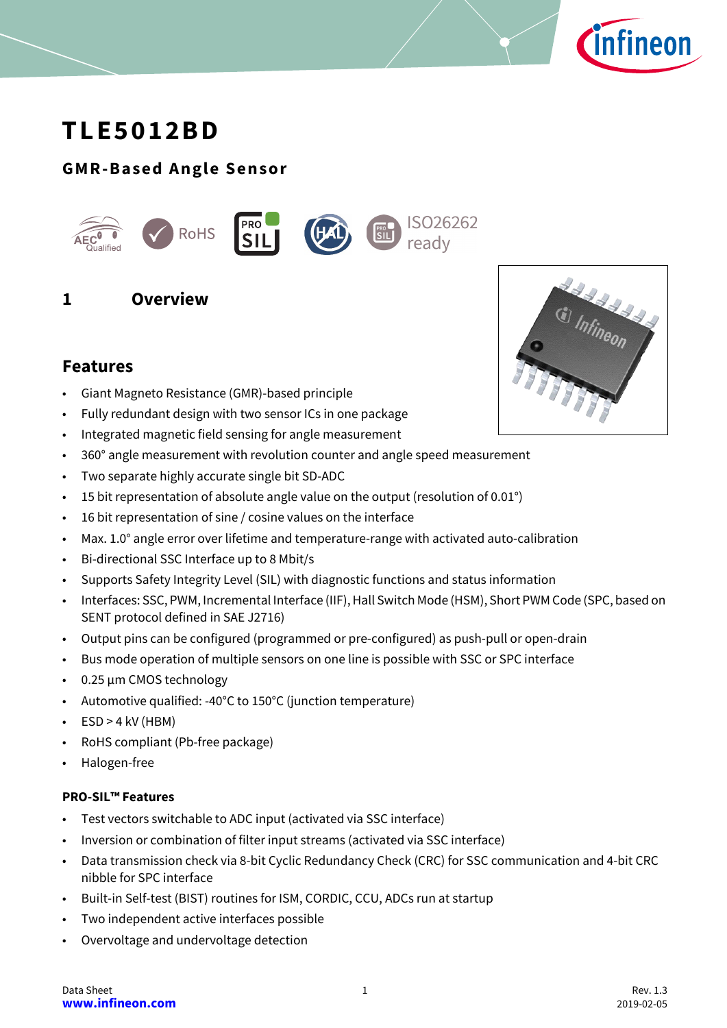

# **TLE5012BD**

# **GMR-Based Angle Sensor**



# <span id="page-0-0"></span>**1 Overview**

# **Features**

- Giant Magneto Resistance (GMR)-based principle
- Fully redundant design with two sensor ICs in one package
- Integrated magnetic field sensing for angle measurement
- 360° angle measurement with revolution counter and angle speed measurement
- Two separate highly accurate single bit SD-ADC
- 15 bit representation of absolute angle value on the output (resolution of 0.01°)
- 16 bit representation of sine / cosine values on the interface
- Max. 1.0° angle error over lifetime and temperature-range with activated auto-calibration
- Bi-directional SSC Interface up to 8 Mbit/s
- Supports Safety Integrity Level (SIL) with diagnostic functions and status information
- Interfaces: SSC, PWM, Incremental Interface (IIF), Hall Switch Mode (HSM), Short PWM Code (SPC, based on SENT protocol defined in SAE J2716)
- Output pins can be configured (programmed or pre-configured) as push-pull or open-drain
- Bus mode operation of multiple sensors on one line is possible with SSC or SPC interface
- 0.25 µm CMOS technology
- Automotive qualified: -40°C to 150°C (junction temperature)
- $\cdot$  ESD > 4 kV (HBM)
- RoHS compliant (Pb-free package)
- Halogen-free

#### **PRO-SIL™ Features**

- Test vectors switchable to ADC input (activated via SSC interface)
- Inversion or combination of filter input streams (activated via SSC interface)
- Data transmission check via 8-bit Cyclic Redundancy Check (CRC) for SSC communication and 4-bit CRC nibble for SPC interface
- Built-in Self-test (BIST) routines for ISM, CORDIC, CCU, ADCs run at startup
- Two independent active interfaces possible
- Overvoltage and undervoltage detection

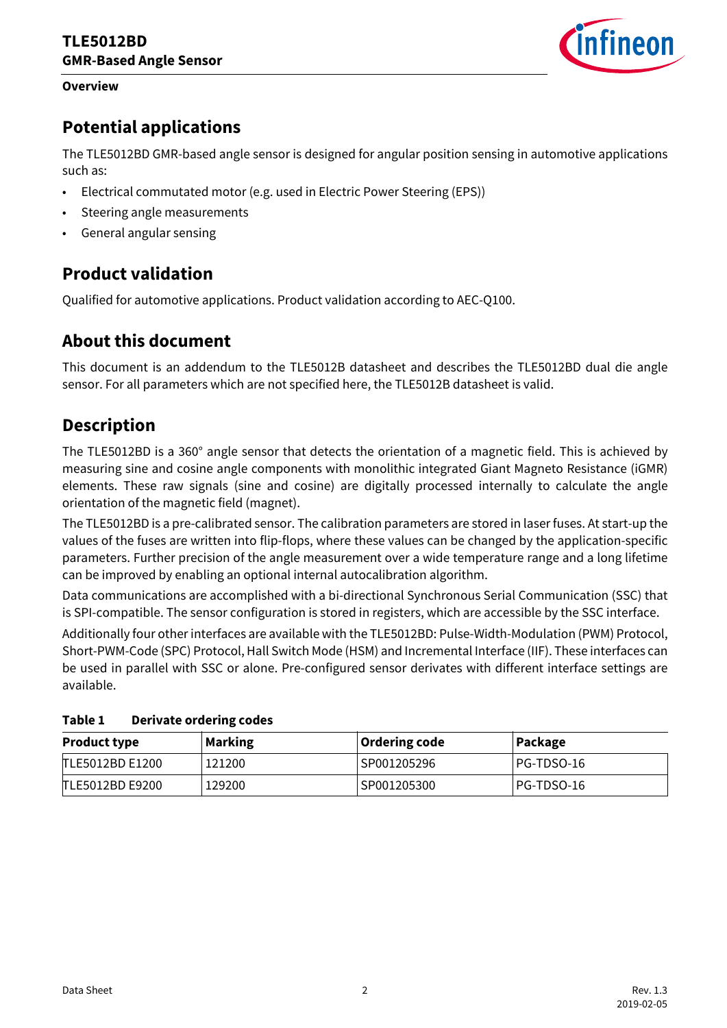#### **Overview**



# **Potential applications**

The TLE5012BD GMR-based angle sensor is designed for angular position sensing in automotive applications such as:

- Electrical commutated motor (e.g. used in Electric Power Steering (EPS))
- Steering angle measurements
- General angular sensing

# **Product validation**

Qualified for automotive applications. Product validation according to AEC-Q100.

# **About this document**

This document is an addendum to the TLE5012B datasheet and describes the TLE5012BD dual die angle sensor. For all parameters which are not specified here, the TLE5012B datasheet is valid.

# **Description**

The TLE5012BD is a 360° angle sensor that detects the orientation of a magnetic field. This is achieved by measuring sine and cosine angle components with monolithic integrated Giant Magneto Resistance (iGMR) elements. These raw signals (sine and cosine) are digitally processed internally to calculate the angle orientation of the magnetic field (magnet).

The TLE5012BD is a pre-calibrated sensor. The calibration parameters are stored in laser fuses. At start-up the values of the fuses are written into flip-flops, where these values can be changed by the application-specific parameters. Further precision of the angle measurement over a wide temperature range and a long lifetime can be improved by enabling an optional internal autocalibration algorithm.

Data communications are accomplished with a bi-directional Synchronous Serial Communication (SSC) that is SPI-compatible. The sensor configuration is stored in registers, which are accessible by the SSC interface.

Additionally four other interfaces are available with the TLE5012BD: Pulse-Width-Modulation (PWM) Protocol, Short-PWM-Code (SPC) Protocol, Hall Switch Mode (HSM) and Incremental Interface (IIF). These interfaces can be used in parallel with SSC or alone. Pre-configured sensor derivates with different interface settings are available.

| <b>Product type</b> | <b>Marking</b> | Ordering code | Package    |  |
|---------------------|----------------|---------------|------------|--|
| TLE5012BD E1200     | 121200         | SP001205296   | PG-TDSO-16 |  |
| TLE5012BD E9200     | 129200         | SP001205300   | PG-TDSO-16 |  |

<span id="page-1-0"></span>**Table 1 Derivate ordering codes**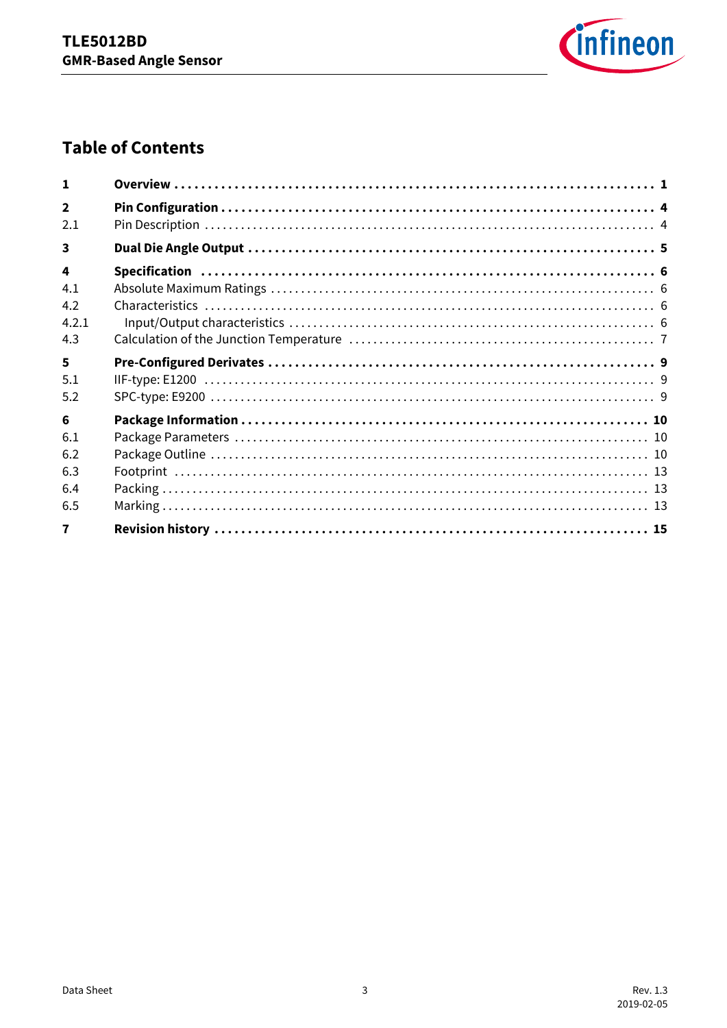

# **Table of Contents**

| 1                       |  |
|-------------------------|--|
| $\overline{2}$          |  |
| 2.1                     |  |
| $\overline{\mathbf{3}}$ |  |
| 4                       |  |
| 4.1                     |  |
| 4.2                     |  |
| 4.2.1                   |  |
| 4.3                     |  |
| 5                       |  |
| 5.1                     |  |
| 5.2                     |  |
| 6                       |  |
| 6.1                     |  |
| 6.2                     |  |
| 6.3                     |  |
| 6.4                     |  |
| 6.5                     |  |
| $\overline{7}$          |  |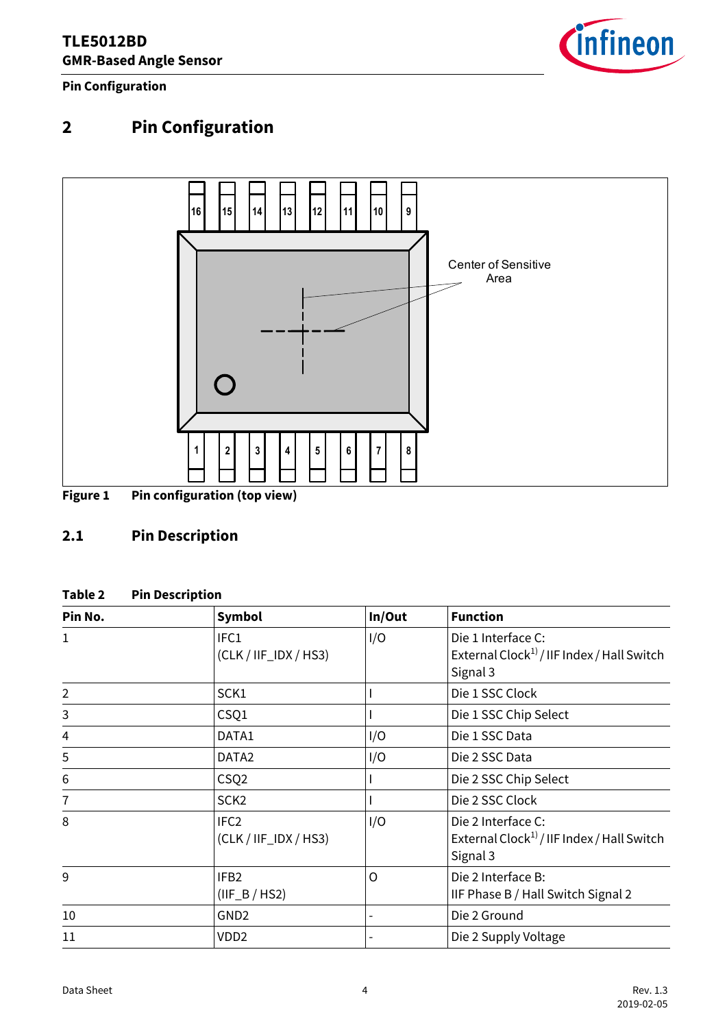

**Pin Configuration**

# <span id="page-3-0"></span>**2 Pin Configuration**



# **Figure 1 Pin configuration (top view)**

# <span id="page-3-1"></span>**2.1 Pin Description**

#### **Table 2 Pin Description**

<span id="page-3-2"></span>

| Pin No.        | <b>Symbol</b>                               | In/Out | <b>Function</b>                                                                          |
|----------------|---------------------------------------------|--------|------------------------------------------------------------------------------------------|
| $\mathbf{1}$   | IFC1<br>$(CLK / IIF_IDX / HS3)$             | I/O    | Die 1 Interface C:<br>External Clock <sup>1)</sup> / IIF Index / Hall Switch<br>Signal 3 |
| $\overline{2}$ | SCK1                                        |        | Die 1 SSC Clock                                                                          |
| 3              | CSQ1                                        |        | Die 1 SSC Chip Select                                                                    |
| 4              | DATA1                                       | I/O    | Die 1 SSC Data                                                                           |
| 5              | DATA <sub>2</sub>                           | I/O    | Die 2 SSC Data                                                                           |
| 6              | CSQ <sub>2</sub>                            |        | Die 2 SSC Chip Select                                                                    |
| $\overline{1}$ | SCK <sub>2</sub>                            |        | Die 2 SSC Clock                                                                          |
| 8              | IFC <sub>2</sub><br>$(CLK / IIF_IDX / HS3)$ | I/O    | Die 2 Interface C:<br>External Clock <sup>1)</sup> / IIF Index / Hall Switch<br>Signal 3 |
| 9              | IFB <sub>2</sub><br>$(IIF_B/HS2)$           | O      | Die 2 Interface B:<br>IIF Phase B / Hall Switch Signal 2                                 |
| 10             | GND <sub>2</sub>                            |        | Die 2 Ground                                                                             |
| 11             | VDD <sub>2</sub>                            |        | Die 2 Supply Voltage                                                                     |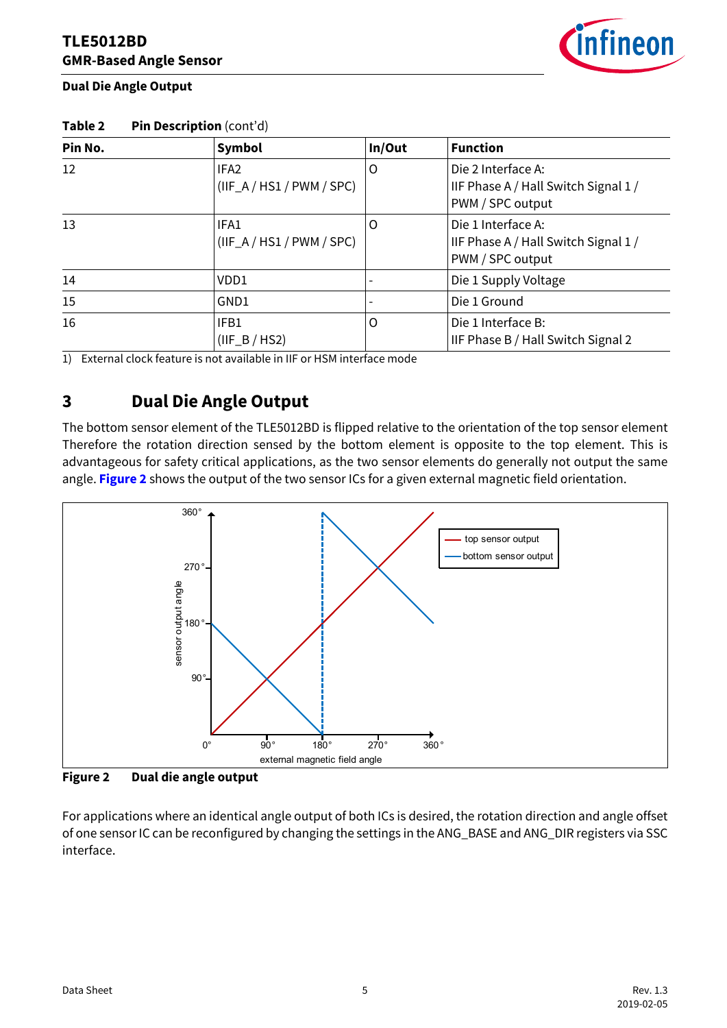

**Dual Die Angle Output**

| Pin No. | Symbol                                          | In/Out | <b>Function</b>                                                                |
|---------|-------------------------------------------------|--------|--------------------------------------------------------------------------------|
| 12      | IFA <sub>2</sub><br>$(IIF_A / HS1 / PWM / SPC)$ | O      | Die 2 Interface A:<br>IIF Phase A / Hall Switch Signal 1 /<br>PWM / SPC output |
| 13      | IFA1<br>$(IIF_A / HS1 / PWM / SPC)$             | O      | Die 1 Interface A:<br>IIF Phase A / Hall Switch Signal 1 /<br>PWM / SPC output |
| 14      | VD <sub>D1</sub>                                |        | Die 1 Supply Voltage                                                           |
| 15      | GND1                                            |        | Die 1 Ground                                                                   |
| 16      | IFB1<br>$(IIF_B/HS2)$                           | O      | Die 1 Interface B:<br>IIF Phase B / Hall Switch Signal 2                       |

**Table 2 Pin Description** (cont'd)

1) External clock feature is not available in IIF or HSM interface mode

# <span id="page-4-0"></span>**3 Dual Die Angle Output**

The bottom sensor element of the TLE5012BD is flipped relative to the orientation of the top sensor element Therefore the rotation direction sensed by the bottom element is opposite to the top element. This is advantageous for safety critical applications, as the two sensor elements do generally not output the same angle. **[Figure 2](#page-4-1)** shows the output of the two sensor ICs for a given external magnetic field orientation.



<span id="page-4-1"></span>**Figure 2 Dual die angle output**

For applications where an identical angle output of both ICs is desired, the rotation direction and angle offset of one sensor IC can be reconfigured by changing the settings in the ANG\_BASE and ANG\_DIR registers via SSC interface.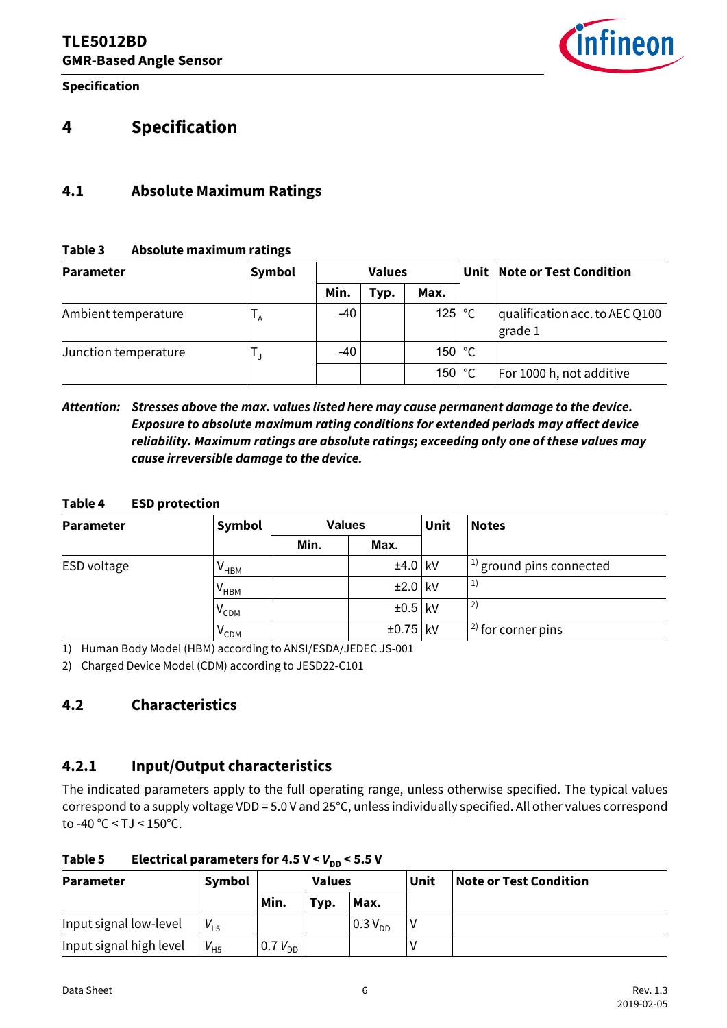**Specification**



# <span id="page-5-0"></span>**4 Specification**

#### <span id="page-5-1"></span>**4.1 Absolute Maximum Ratings**

#### **Table 3 Absolute maximum ratings**

| <b>Parameter</b>     | Symbol            |             | <b>Values</b> |          | Unit   Note or Test Condition             |
|----------------------|-------------------|-------------|---------------|----------|-------------------------------------------|
|                      |                   | Min.        | Typ.          | Max.     |                                           |
| Ambient temperature  | $^{\mathsf{r}}$ A | $-40^\circ$ |               | $125$ °C | qualification acc. to AEC Q100<br>grade 1 |
| Junction temperature |                   | $-40$       |               | $150$ °C |                                           |
|                      |                   |             |               | 150 °C   | For 1000 h, not additive                  |

*Attention: Stresses above the max. values listed here may cause permanent damage to the device. Exposure to absolute maximum rating conditions for extended periods may affect device reliability. Maximum ratings are absolute ratings; exceeding only one of these values may cause irreversible damage to the device.*

#### **Table 4 ESD protection**

<span id="page-5-4"></span>

| <b>Parameter</b> | Symbol                             |      | <b>Values</b> | Unit | <b>Notes</b>                   |
|------------------|------------------------------------|------|---------------|------|--------------------------------|
|                  |                                    | Min. | Max.          |      |                                |
| ESD voltage      | V <sub>нвм</sub>                   |      | $±4.0$ kV     |      | $ ^{1)}$ ground pins connected |
|                  | $\bm{{\mathsf{V}}}_{\mathsf{HBM}}$ |      | $±2.0$ kV     |      | 1)                             |
|                  | $\bm{{\mathsf{V}}}_\mathsf{CDM}$   |      | $\pm 0.5$ kV  |      | 2)                             |
|                  | $V_{CDM}$                          |      | $±0.75$ kV    |      | $ ^{2)}$ for corner pins       |

<span id="page-5-5"></span>1) Human Body Model (HBM) according to ANSI/ESDA/JEDEC JS-001

2) Charged Device Model (CDM) according to JESD22-C101

## <span id="page-5-2"></span>**4.2 Characteristics**

#### <span id="page-5-3"></span>**4.2.1 Input/Output characteristics**

The indicated parameters apply to the full operating range, unless otherwise specified. The typical values correspond to a supply voltage VDD = 5.0 V and 25°C, unless individually specified. All other values correspond to -40 °C < TJ < 150°C.

| <b>Parameter</b>        | Symbol   | <b>Values</b>                           |      | Unit          | <b>Note or Test Condition</b> |  |
|-------------------------|----------|-----------------------------------------|------|---------------|-------------------------------|--|
|                         |          | Min.                                    | Typ. | Max.          |                               |  |
| Input signal low-level  | $V_{L5}$ |                                         |      | $10.3 V_{DD}$ |                               |  |
| Input signal high level | $V_{H5}$ | $\,^{\circ}$ 0.7 $V^{\,}_{\mathsf{DD}}$ |      |               |                               |  |

Table 5 **Electrical parameters for 4.5 V <**  $V_{\text{DD}}$  **< 5.5 V**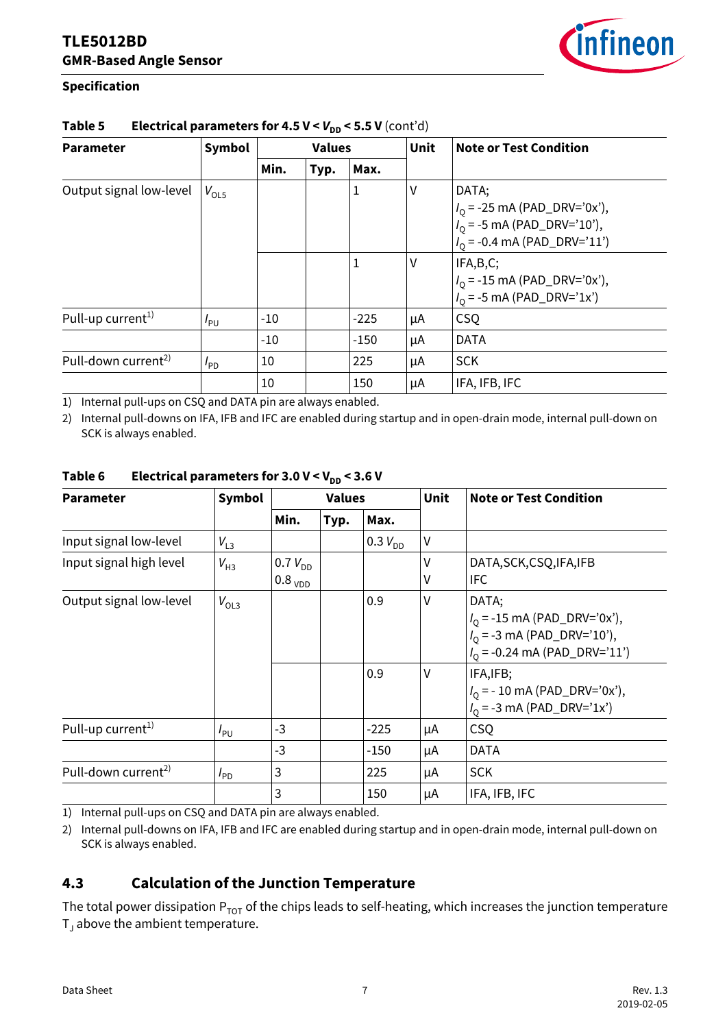

#### **Specification**

| טע                              |                 |               |      |        |             |                                                                                                            |  |  |  |
|---------------------------------|-----------------|---------------|------|--------|-------------|------------------------------------------------------------------------------------------------------------|--|--|--|
| <b>Parameter</b>                | Symbol          | <b>Values</b> |      |        | <b>Unit</b> | <b>Note or Test Condition</b>                                                                              |  |  |  |
|                                 |                 | Min.          | Typ. | Max.   |             |                                                                                                            |  |  |  |
| Output signal low-level         | $V_{OL5}$       |               |      | 1      | ٧           | DATA;<br>$I_0$ = -25 mA (PAD_DRV='0x'),<br>$I_0$ = -5 mA (PAD_DRV='10'),<br>$I_0$ = -0.4 mA (PAD_DRV='11') |  |  |  |
|                                 |                 |               |      | 1      | ٧           | IFA,B,C;<br>$I_0$ = -15 mA (PAD_DRV='0x'),<br>$I_0$ = -5 mA (PAD_DRV='1x')                                 |  |  |  |
| Pull-up current <sup>1)</sup>   | $I_{PU}$        | $-10$         |      | $-225$ | μA          | <b>CSQ</b>                                                                                                 |  |  |  |
|                                 |                 | $-10$         |      | $-150$ | μA          | <b>DATA</b>                                                                                                |  |  |  |
| Pull-down current <sup>2)</sup> | $I_{\text{PD}}$ | 10            |      | 225    | μA          | <b>SCK</b>                                                                                                 |  |  |  |
|                                 |                 | 10            |      | 150    | μA          | IFA, IFB, IFC                                                                                              |  |  |  |

#### **Table 5** Electrical parameters for 4.5  $V < V_{DD} < 5.5$  V (cont'd)

1) Internal pull-ups on CSQ and DATA pin are always enabled.

2) Internal pull-downs on IFA, IFB and IFC are enabled during startup and in open-drain mode, internal pull-down on SCK is always enabled.

| <b>Parameter</b>                | <b>Symbol</b>   | <b>Values</b>                       |      |              | Unit   | <b>Note or Test Condition</b>                                                                               |
|---------------------------------|-----------------|-------------------------------------|------|--------------|--------|-------------------------------------------------------------------------------------------------------------|
|                                 |                 | Min.                                | Typ. | Max.         |        |                                                                                                             |
| Input signal low-level          | $V_{L3}$        |                                     |      | $0.3 V_{DD}$ | V      |                                                                                                             |
| Input signal high level         | $V_{H3}$        | $0.7 V_{DD}$<br>$0.8_{\text{ VDD}}$ |      |              | V<br>V | DATA, SCK, CSQ, IFA, IFB<br><b>IFC</b>                                                                      |
| Output signal low-level         | $V_{OL3}$       |                                     |      | 0.9          | V      | DATA;<br>$I_0$ = -15 mA (PAD_DRV='0x'),<br>$I_0$ = -3 mA (PAD_DRV='10'),<br>$I_0$ = -0.24 mA (PAD_DRV='11') |
|                                 |                 |                                     |      | 0.9          | V      | IFA, IFB;<br>$I_0$ = - 10 mA (PAD_DRV='0x'),<br>$I_0$ = -3 mA (PAD_DRV='1x')                                |
| Pull-up current <sup>1)</sup>   | $I_{PU}$        | $-3$                                |      | -225         | μA     | <b>CSQ</b>                                                                                                  |
|                                 |                 | $-3$                                |      | $-150$       | μA     | <b>DATA</b>                                                                                                 |
| Pull-down current <sup>2)</sup> | $I_{\text{PD}}$ | 3                                   |      | 225          | μA     | <b>SCK</b>                                                                                                  |
|                                 |                 | 3                                   |      | 150          | μA     | IFA, IFB, IFC                                                                                               |

#### Table 6 Electrical parameters for  $3.0 \text{ V} < V_{\text{DD}} < 3.6 \text{ V}$

1) Internal pull-ups on CSQ and DATA pin are always enabled.

2) Internal pull-downs on IFA, IFB and IFC are enabled during startup and in open-drain mode, internal pull-down on SCK is always enabled.

## <span id="page-6-0"></span>**4.3 Calculation of the Junction Temperature**

The total power dissipation  $P_{TOT}$  of the chips leads to self-heating, which increases the junction temperature  $T_J$  above the ambient temperature.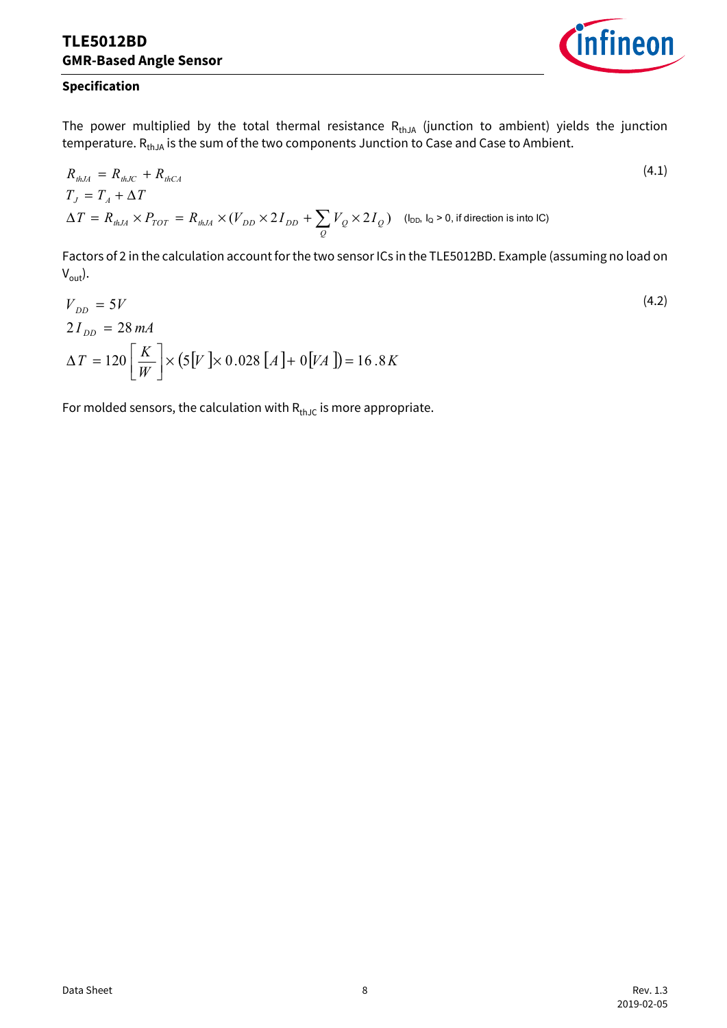

(4.2)

#### **Specification**

The power multiplied by the total thermal resistance  $R_{thJA}$  (junction to ambient) yields the junction temperature. R<sub>thJA</sub> is the sum of the two components Junction to Case and Case to Ambient.

$$
R_{thJA} = R_{thJC} + R_{thCA}
$$
  
\n
$$
T_J = T_A + \Delta T
$$
  
\n
$$
\Delta T = R_{thJA} \times P_{TOT} = R_{thJA} \times (V_{DD} \times 2I_{DD} + \sum_{Q} V_{Q} \times 2I_{Q})
$$
 (l<sub>DD</sub>, l<sub>Q</sub> > 0, if direction is into IC) (4.1)

Factors of 2 in the calculation account for the two sensor ICs in the TLE5012BD. Example (assuming no load on  $V_{\text{out}}$ ).

$$
V_{DD} = 5V
$$
  
2I<sub>DD</sub> = 28 mA  

$$
\Delta T = 120 \left[ \frac{K}{W} \right] \times (5[V] \times 0.028 [A] + 0 [VA]) = 16.8 K
$$

For molded sensors, the calculation with  $R_{thJC}$  is more appropriate.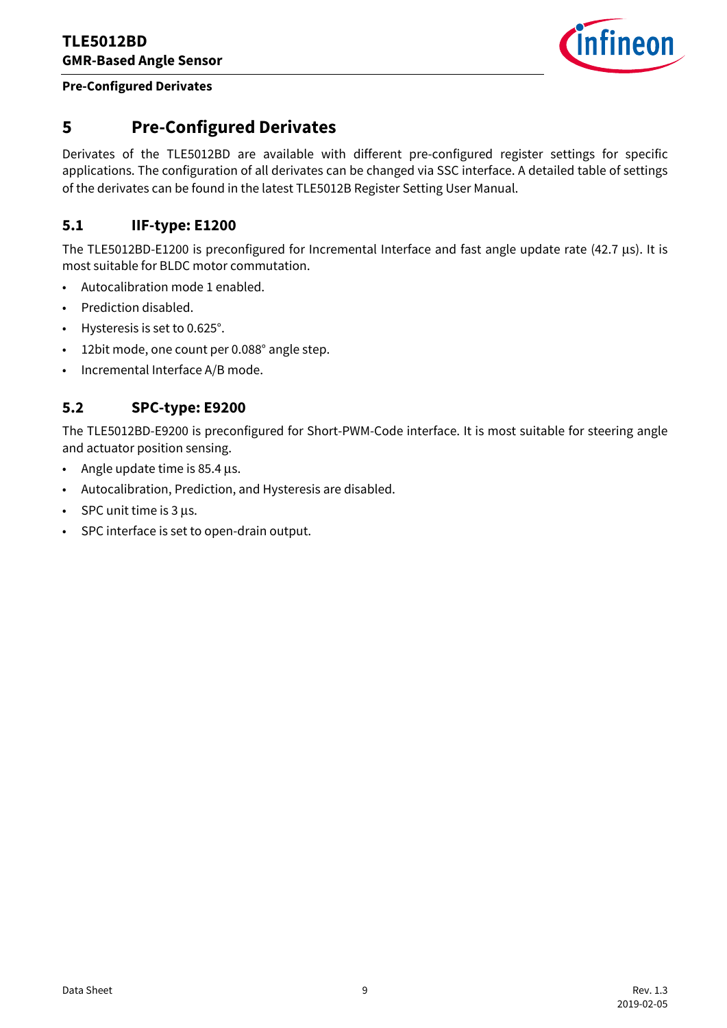

#### **Pre-Configured Derivates**

# <span id="page-8-0"></span>**5 Pre-Configured Derivates**

Derivates of the TLE5012BD are available with different pre-configured register settings for specific applications. The configuration of all derivates can be changed via SSC interface. A detailed table of settings of the derivates can be found in the latest TLE5012B Register Setting User Manual.

#### <span id="page-8-1"></span>**5.1 IIF-type: E1200**

The TLE5012BD-E1200 is preconfigured for Incremental Interface and fast angle update rate (42.7 μs). It is most suitable for BLDC motor commutation.

- Autocalibration mode 1 enabled.
- Prediction disabled.
- Hysteresis is set to 0.625°.
- 12bit mode, one count per 0.088° angle step.
- Incremental Interface A/B mode.

#### <span id="page-8-2"></span>**5.2 SPC-type: E9200**

The TLE5012BD-E9200 is preconfigured for Short-PWM-Code interface. It is most suitable for steering angle and actuator position sensing.

- Angle update time is 85.4 μs.
- Autocalibration, Prediction, and Hysteresis are disabled.
- SPC unit time is 3 μs.
- SPC interface is set to open-drain output.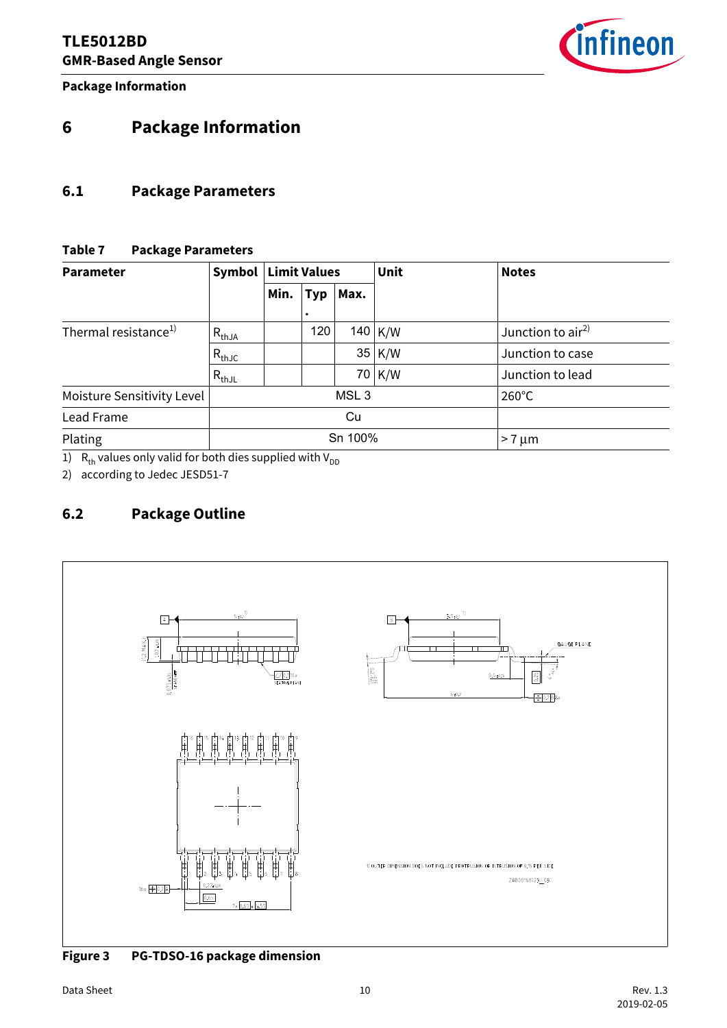**Package Information**



# <span id="page-9-0"></span>**6 Package Information**

#### <span id="page-9-1"></span>**6.1 Package Parameters**

#### **Table 7 Package Parameters**

| <b>Parameter</b>                 | Symbol     | <b>Limit Values</b> |            |                  | Unit      | <b>Notes</b>       |
|----------------------------------|------------|---------------------|------------|------------------|-----------|--------------------|
|                                  |            | Min.                | <b>Typ</b> | Max.             |           |                    |
| Thermal resistance <sup>1)</sup> | $R_{thJA}$ |                     | 120        |                  | $140$ K/W | Junction to $air2$ |
|                                  | $R_{thJC}$ |                     |            |                  | $35$ K/W  | Junction to case   |
|                                  | $R_{thJL}$ |                     |            |                  | 70 K/W    | Junction to lead   |
| Moisture Sensitivity Level       |            |                     |            | MSL <sub>3</sub> |           | $260^{\circ}$ C    |
| Lead Frame                       |            |                     |            | Cu               |           |                    |
| Plating                          |            |                     |            | Sn 100%          |           | $>7 \mu m$         |

1)  $R_{th}$  values only valid for both dies supplied with V<sub>DD</sub>

2) according to Jedec JESD51-7

### <span id="page-9-2"></span>**6.2 Package Outline**



**Figure 3 PG-TDSO-16 package dimension**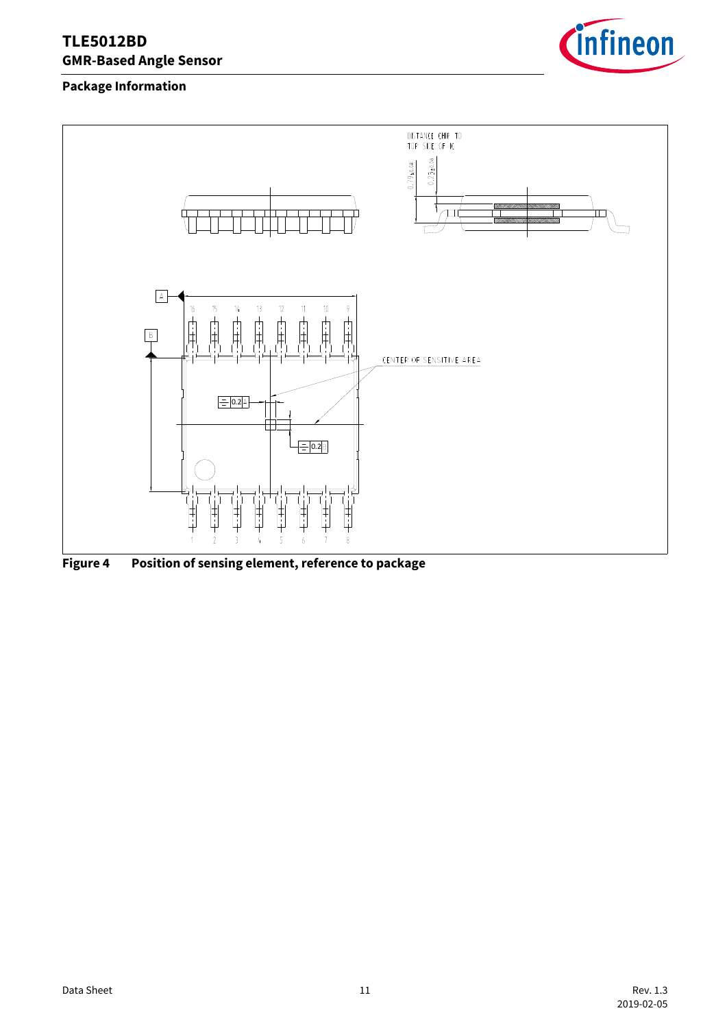

#### **Package Information**



**Figure 4 Position of sensing element, reference to package**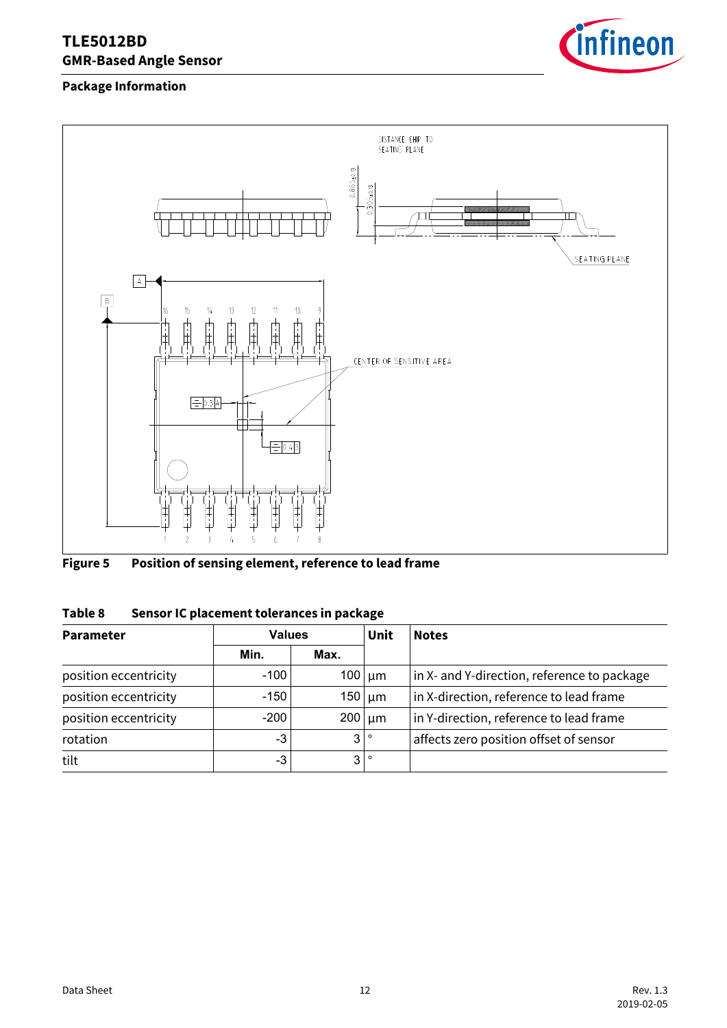

#### **Package Information**



**Figure 5 Position of sensing element, reference to lead frame**

| Table 8 | Sensor IC placement tolerances in package |  |
|---------|-------------------------------------------|--|
|         |                                           |  |

| <b>Parameter</b>      | <b>Values</b> |                   | Unit              | <b>Notes</b>                                |  |
|-----------------------|---------------|-------------------|-------------------|---------------------------------------------|--|
|                       | Min.          | Max.              |                   |                                             |  |
| position eccentricity | $-100$        | $100 \vert \mu m$ |                   | in X- and Y-direction, reference to package |  |
| position eccentricity | $-150$        |                   | $150 \vert \mu m$ | in X-direction, reference to lead frame     |  |
| position eccentricity | $-200$        | $200 \vert \mu m$ |                   | in Y-direction, reference to lead frame     |  |
| rotation              | $-3$          | 3 <sup>1</sup>    | $\circ$           | affects zero position offset of sensor      |  |
| tilt                  | -3            | 3 <sub>l</sub>    | $\circ$           |                                             |  |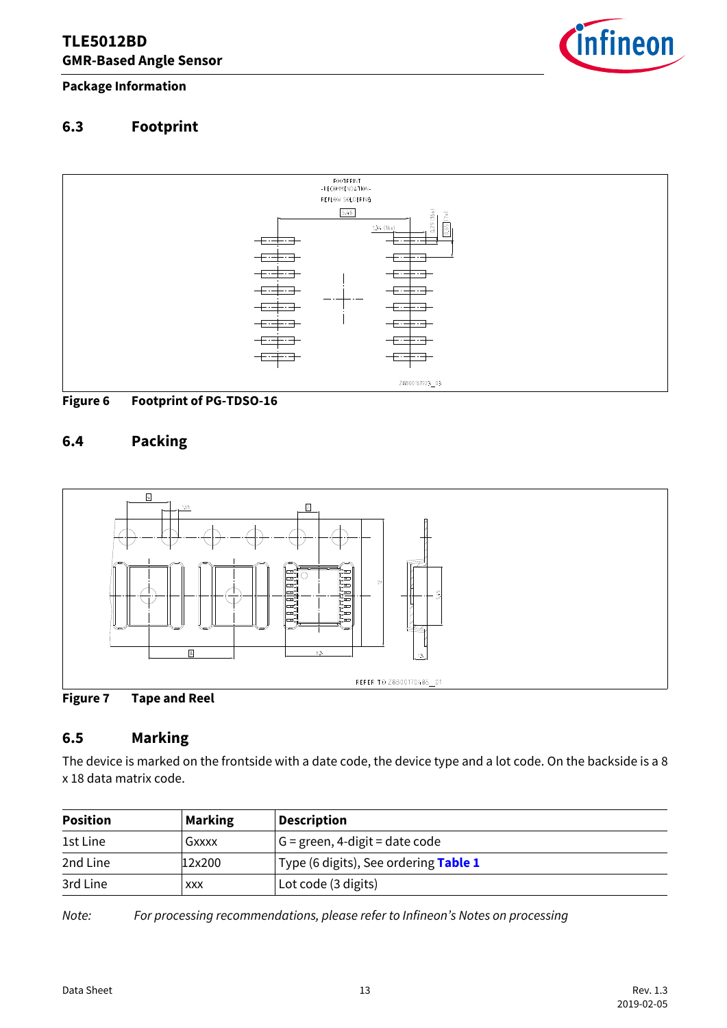

**Package Information**

# <span id="page-12-0"></span>**6.3 Footprint**





### <span id="page-12-1"></span>**6.4 Packing**





### <span id="page-12-2"></span>**6.5 Marking**

The device is marked on the frontside with a date code, the device type and a lot code. On the backside is a 8 x 18 data matrix code.

| <b>Position</b> | <b>Marking</b> | <b>Description</b>                    |
|-----------------|----------------|---------------------------------------|
| 1st Line        | Gxxxx          | $G =$ green, 4-digit = date code      |
| 2nd Line        | 12x200         | Type (6 digits), See ordering Table 1 |
| 3rd Line        | <b>XXX</b>     | Lot code (3 digits)                   |

*Note: For processing recommendations, please refer to Infineon's Notes on processing*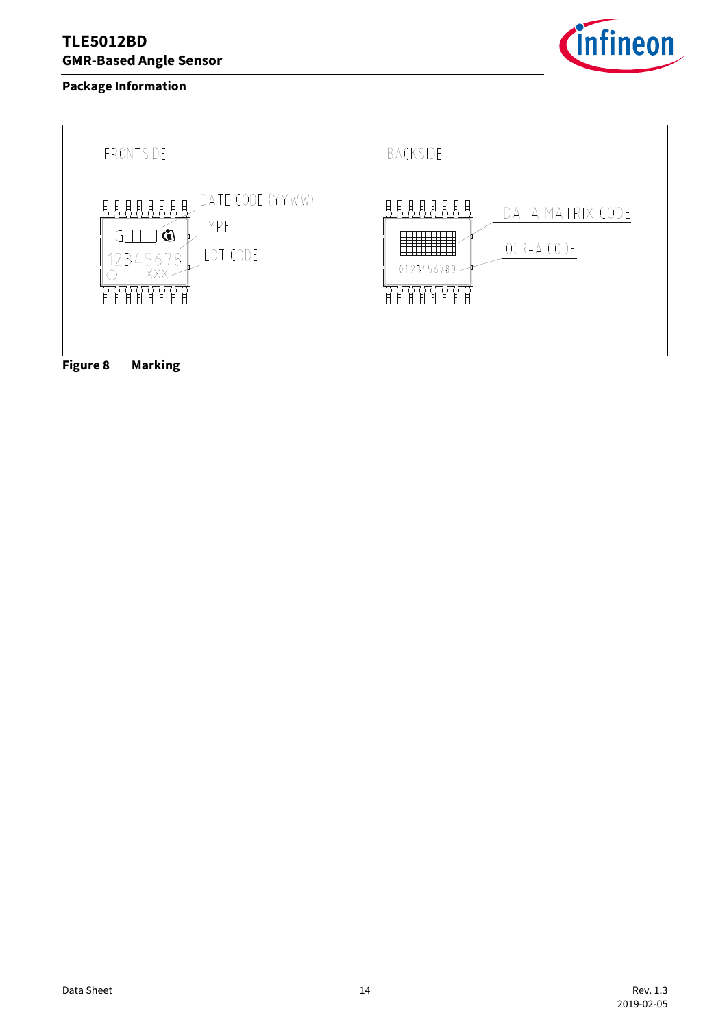#### **Package Information**



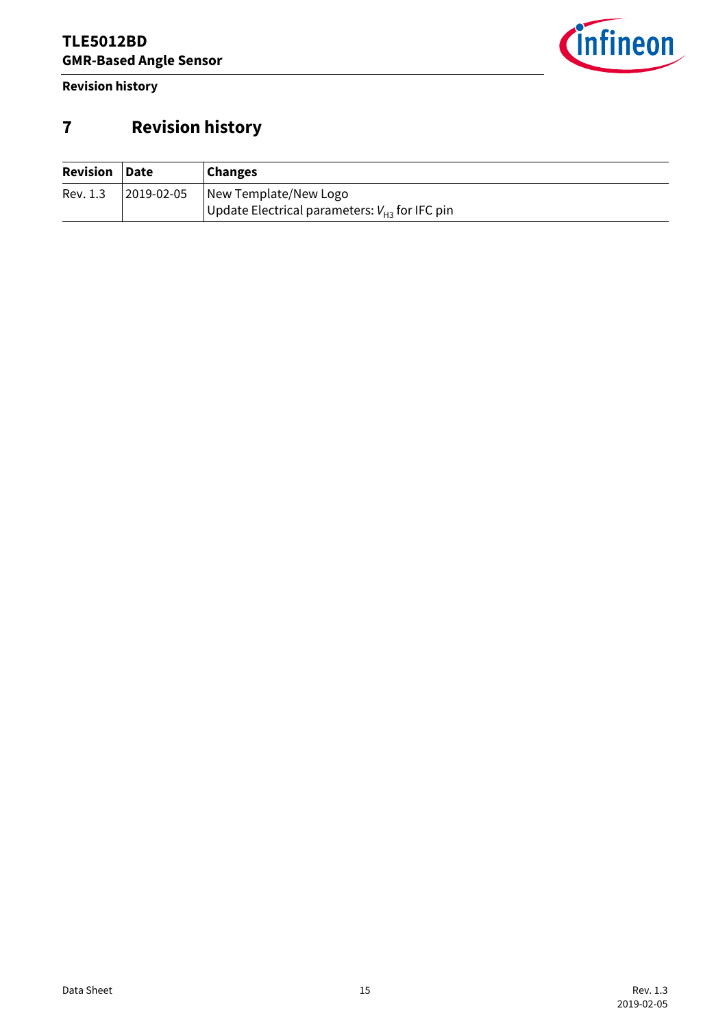**Revision history**



# <span id="page-14-0"></span>**7 Revision history**

| <b>Revision Date</b> |            | <b>Changes</b>                                     |
|----------------------|------------|----------------------------------------------------|
| Rev. 1.3             | 2019-02-05 | New Template/New Logo                              |
|                      |            | Update Electrical parameters: $V_{H3}$ for IFC pin |